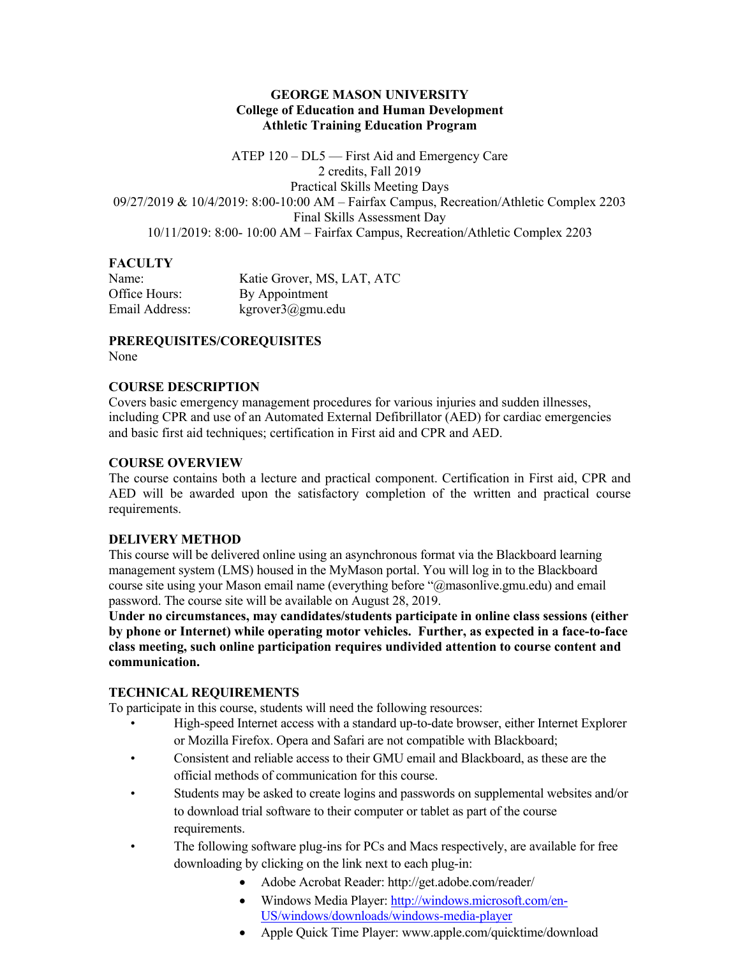#### **GEORGE MASON UNIVERSITY College of Education and Human Development Athletic Training Education Program**

ATEP 120 – DL5 — First Aid and Emergency Care 2 credits, Fall 2019 Practical Skills Meeting Days 09/27/2019 & 10/4/2019: 8:00-10:00 AM – Fairfax Campus, Recreation/Athletic Complex 2203 Final Skills Assessment Day 10/11/2019: 8:00- 10:00 AM – Fairfax Campus, Recreation/Athletic Complex 2203

### **FACULTY**

| Name:          | Katie Grover, MS, LAT, ATC |
|----------------|----------------------------|
| Office Hours:  | By Appointment             |
| Email Address: | kgrover3@gmu.edu           |

# **PREREQUISITES/COREQUISITES**

None

## **COURSE DESCRIPTION**

Covers basic emergency management procedures for various injuries and sudden illnesses, including CPR and use of an Automated External Defibrillator (AED) for cardiac emergencies and basic first aid techniques; certification in First aid and CPR and AED.

### **COURSE OVERVIEW**

The course contains both a lecture and practical component. Certification in First aid, CPR and AED will be awarded upon the satisfactory completion of the written and practical course requirements.

# **DELIVERY METHOD**

This course will be delivered online using an asynchronous format via the Blackboard learning management system (LMS) housed in the MyMason portal. You will log in to the Blackboard course site using your Mason email name (everything before "@masonlive.gmu.edu) and email password. The course site will be available on August 28, 2019.

**Under no circumstances, may candidates/students participate in online class sessions (either by phone or Internet) while operating motor vehicles. Further, as expected in a face-to-face class meeting, such online participation requires undivided attention to course content and communication.**

### **TECHNICAL REQUIREMENTS**

To participate in this course, students will need the following resources:

- High-speed Internet access with a standard up-to-date browser, either Internet Explorer or Mozilla Firefox. Opera and Safari are not compatible with Blackboard;
- Consistent and reliable access to their GMU email and Blackboard, as these are the official methods of communication for this course.
- Students may be asked to create logins and passwords on supplemental websites and/or to download trial software to their computer or tablet as part of the course requirements.
- The following software plug-ins for PCs and Macs respectively, are available for free downloading by clicking on the link next to each plug-in:
	- Adobe Acrobat Reader: http://get.adobe.com/reader/
	- Windows Media Player: http://windows.microsoft.com/en-US/windows/downloads/windows-media-player
	- Apple Quick Time Player: www.apple.com/quicktime/download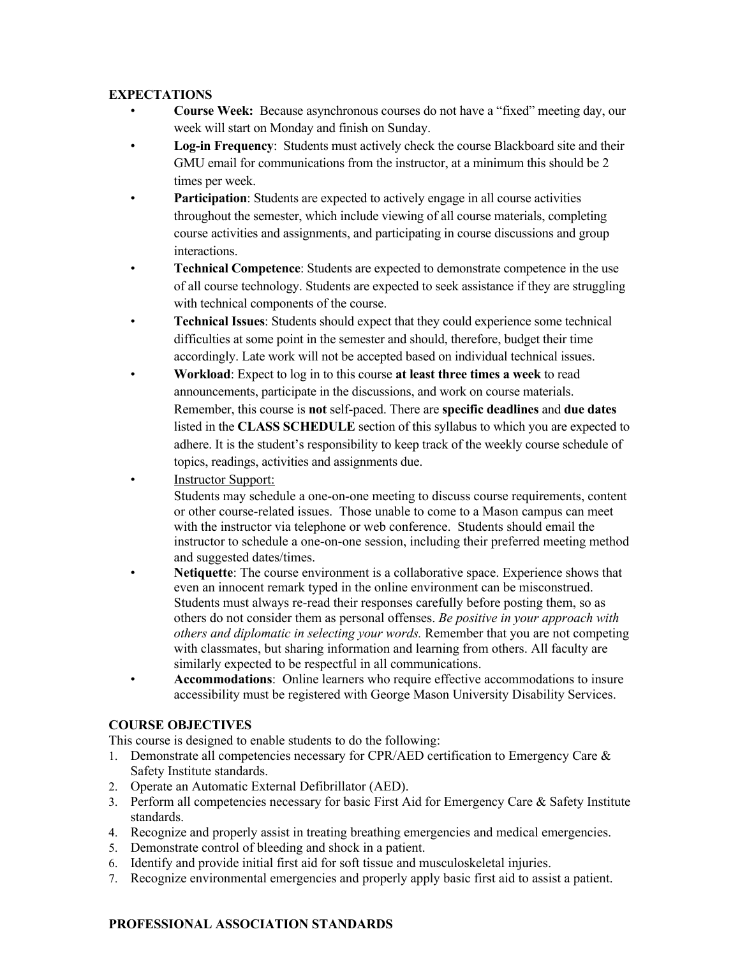## **EXPECTATIONS**

- **Course Week:** Because asynchronous courses do not have a "fixed" meeting day, our week will start on Monday and finish on Sunday.
- **Log-in Frequency**: Students must actively check the course Blackboard site and their GMU email for communications from the instructor, at a minimum this should be 2 times per week.
- Participation: Students are expected to actively engage in all course activities throughout the semester, which include viewing of all course materials, completing course activities and assignments, and participating in course discussions and group interactions.
- **Technical Competence**: Students are expected to demonstrate competence in the use of all course technology. Students are expected to seek assistance if they are struggling with technical components of the course.
- **Technical Issues**: Students should expect that they could experience some technical difficulties at some point in the semester and should, therefore, budget their time accordingly. Late work will not be accepted based on individual technical issues.
- **Workload**: Expect to log in to this course **at least three times a week** to read announcements, participate in the discussions, and work on course materials. Remember, this course is **not** self-paced. There are **specific deadlines** and **due dates** listed in the **CLASS SCHEDULE** section of this syllabus to which you are expected to adhere. It is the student's responsibility to keep track of the weekly course schedule of topics, readings, activities and assignments due.

• Instructor Support:

Students may schedule a one-on-one meeting to discuss course requirements, content or other course-related issues. Those unable to come to a Mason campus can meet with the instructor via telephone or web conference. Students should email the instructor to schedule a one-on-one session, including their preferred meeting method and suggested dates/times.

- Netiquette: The course environment is a collaborative space. Experience shows that even an innocent remark typed in the online environment can be misconstrued. Students must always re-read their responses carefully before posting them, so as others do not consider them as personal offenses. *Be positive in your approach with others and diplomatic in selecting your words.* Remember that you are not competing with classmates, but sharing information and learning from others. All faculty are similarly expected to be respectful in all communications.
- **Accommodations**: Online learners who require effective accommodations to insure accessibility must be registered with George Mason University Disability Services.

# **COURSE OBJECTIVES**

This course is designed to enable students to do the following:

- 1. Demonstrate all competencies necessary for CPR/AED certification to Emergency Care  $\&$ Safety Institute standards.
- 2. Operate an Automatic External Defibrillator (AED).
- 3. Perform all competencies necessary for basic First Aid for Emergency Care & Safety Institute standards.
- 4. Recognize and properly assist in treating breathing emergencies and medical emergencies.
- 5. Demonstrate control of bleeding and shock in a patient.
- 6. Identify and provide initial first aid for soft tissue and musculoskeletal injuries.
- 7. Recognize environmental emergencies and properly apply basic first aid to assist a patient.

# **PROFESSIONAL ASSOCIATION STANDARDS**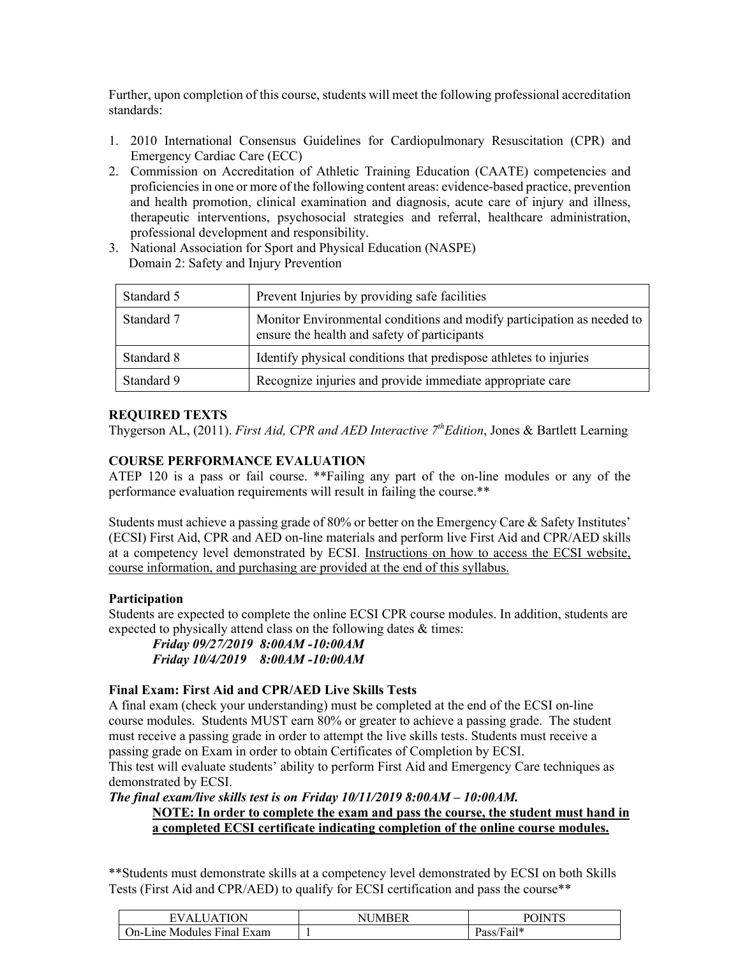Further, upon completion of this course, students will meet the following professional accreditation standards:

- 1. 2010 International Consensus Guidelines for Cardiopulmonary Resuscitation (CPR) and Emergency Cardiac Care (ECC)
- 2. Commission on Accreditation of Athletic Training Education (CAATE) competencies and proficiencies in one or more of the following content areas: evidence-based practice, prevention and health promotion, clinical examination and diagnosis, acute care of injury and illness, therapeutic interventions, psychosocial strategies and referral, healthcare administration, professional development and responsibility.
- 3. National Association for Sport and Physical Education (NASPE) Domain 2: Safety and Injury Prevention

| Standard 5 | Prevent Injuries by providing safe facilities                                                                          |
|------------|------------------------------------------------------------------------------------------------------------------------|
| Standard 7 | Monitor Environmental conditions and modify participation as needed to<br>ensure the health and safety of participants |
| Standard 8 | Identify physical conditions that predispose athletes to injuries                                                      |
| Standard 9 | Recognize injuries and provide immediate appropriate care                                                              |

## **REQUIRED TEXTS**

Thygerson AL, (2011). *First Aid, CPR and AED Interactive 7thEdition*, Jones & Bartlett Learning

## **COURSE PERFORMANCE EVALUATION**

ATEP 120 is a pass or fail course. \*\*Failing any part of the on-line modules or any of the performance evaluation requirements will result in failing the course.\*\*

Students must achieve a passing grade of 80% or better on the Emergency Care & Safety Institutes' (ECSI) First Aid, CPR and AED on-line materials and perform live First Aid and CPR/AED skills at a competency level demonstrated by ECSI. Instructions on how to access the ECSI website, course information, and purchasing are provided at the end of this syllabus.

# **Participation**

Students are expected to complete the online ECSI CPR course modules. In addition, students are expected to physically attend class on the following dates & times:

*Friday 09/27/2019 8:00AM -10:00AM Friday 10/4/2019 8:00AM -10:00AM*

### **Final Exam: First Aid and CPR/AED Live Skills Tests**

A final exam (check your understanding) must be completed at the end of the ECSI on-line course modules. Students MUST earn 80% or greater to achieve a passing grade. The student must receive a passing grade in order to attempt the live skills tests. Students must receive a passing grade on Exam in order to obtain Certificates of Completion by ECSI.

This test will evaluate students' ability to perform First Aid and Emergency Care techniques as demonstrated by ECSI.

*The final exam/live skills test is on Friday 10/11/2019 8:00AM – 10:00AM.*

## **NOTE: In order to complete the exam and pass the course, the student must hand in a completed ECSI certificate indicating completion of the online course modules.**

\*\*Students must demonstrate skills at a competency level demonstrated by ECSI on both Skills Tests (First Aid and CPR/AED) to qualify for ECSI certification and pass the course\*\*

| <b>TION</b><br>$\sqrt{ }$<br>$\Lambda$<br>н | N/I R | <b>DOIMTC</b>       |
|---------------------------------------------|-------|---------------------|
| Exam<br>ane Modules Final<br>)n-L           |       | Fail*<br>$\sqrt{2}$ |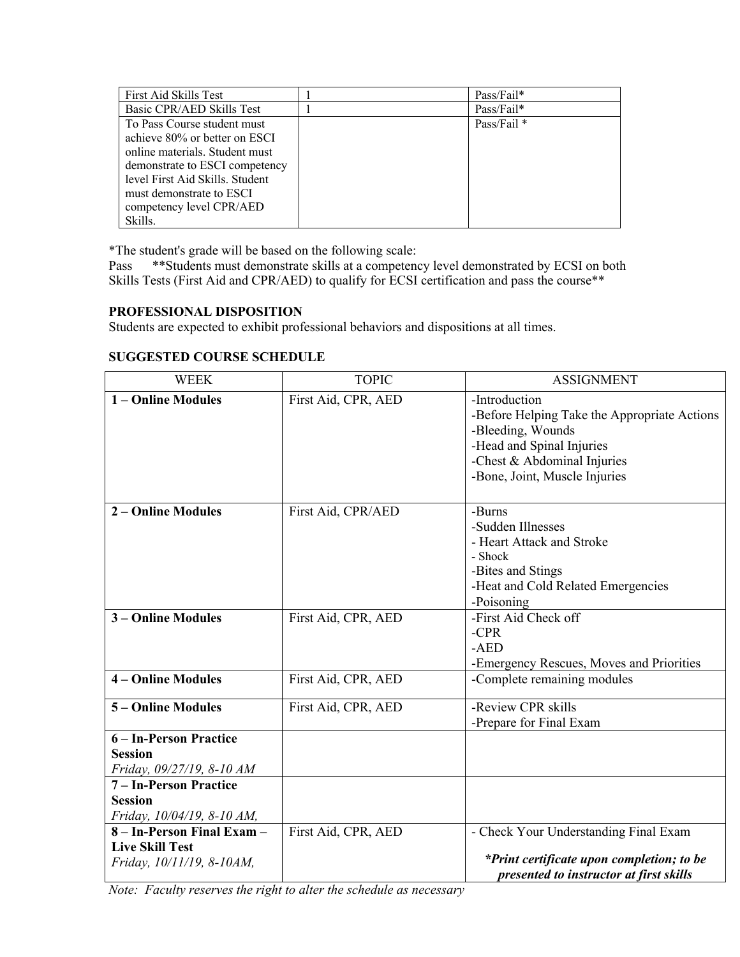| First Aid Skills Test           | $Pass/Fair*$  |
|---------------------------------|---------------|
| Basic CPR/AED Skills Test       | Pass/Fail*    |
| To Pass Course student must     | Pass/Fail $*$ |
| achieve 80% or better on ESCI   |               |
| online materials. Student must  |               |
| demonstrate to ESCI competency  |               |
| level First Aid Skills. Student |               |
| must demonstrate to ESCI        |               |
| competency level CPR/AED        |               |
| Skills.                         |               |

\*The student's grade will be based on the following scale:

Pass \*\*Students must demonstrate skills at a competency level demonstrated by ECSI on both Skills Tests (First Aid and CPR/AED) to qualify for ECSI certification and pass the course\*\*

## **PROFESSIONAL DISPOSITION**

Students are expected to exhibit professional behaviors and dispositions at all times.

| <b>WEEK</b>                                                                       | <b>TOPIC</b>        | <b>ASSIGNMENT</b>                                                                                                                                                                 |  |
|-----------------------------------------------------------------------------------|---------------------|-----------------------------------------------------------------------------------------------------------------------------------------------------------------------------------|--|
| 1 - Online Modules                                                                | First Aid, CPR, AED | -Introduction<br>-Before Helping Take the Appropriate Actions<br>-Bleeding, Wounds<br>-Head and Spinal Injuries<br>-Chest $&$ Abdominal Injuries<br>-Bone, Joint, Muscle Injuries |  |
| 2 - Online Modules<br>First Aid, CPR/AED                                          |                     | -Burns<br>-Sudden Illnesses<br>- Heart Attack and Stroke<br>- Shock<br>-Bites and Stings<br>-Heat and Cold Related Emergencies<br>-Poisoning                                      |  |
| 3 - Online Modules                                                                | First Aid, CPR, AED | -First Aid Check off<br>$-CPR$<br>$- AED$<br>-Emergency Rescues, Moves and Priorities                                                                                             |  |
| <b>4 - Online Modules</b>                                                         | First Aid, CPR, AED | -Complete remaining modules                                                                                                                                                       |  |
| <b>5-Online Modules</b>                                                           | First Aid, CPR, AED | -Review CPR skills<br>-Prepare for Final Exam                                                                                                                                     |  |
| 6 – In-Person Practice<br><b>Session</b><br>Friday, 09/27/19, 8-10 AM             |                     |                                                                                                                                                                                   |  |
| 7 - In-Person Practice<br><b>Session</b><br>Friday, 10/04/19, 8-10 AM,            |                     |                                                                                                                                                                                   |  |
| 8 - In-Person Final Exam -<br><b>Live Skill Test</b><br>Friday, 10/11/19, 8-10AM, | First Aid, CPR, AED | - Check Your Understanding Final Exam<br>*Print certificate upon completion; to be<br>presented to instructor at first skills                                                     |  |

## **SUGGESTED COURSE SCHEDULE**

*Note: Faculty reserves the right to alter the schedule as necessary*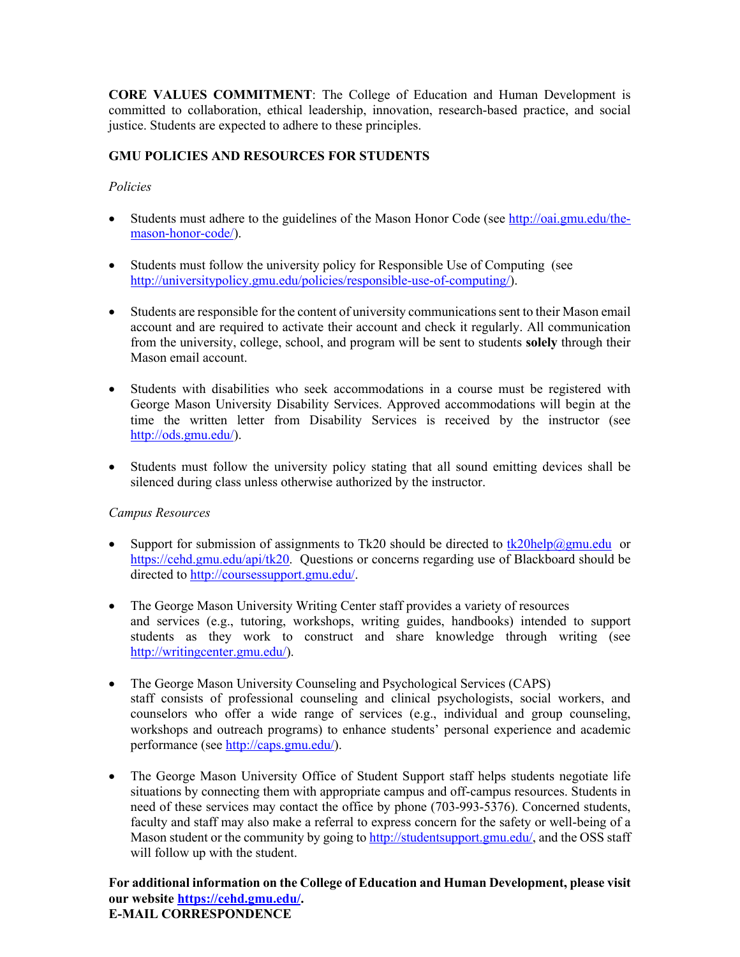**CORE VALUES COMMITMENT**: The College of Education and Human Development is committed to collaboration, ethical leadership, innovation, research-based practice, and social justice. Students are expected to adhere to these principles.

# **GMU POLICIES AND RESOURCES FOR STUDENTS**

## *Policies*

- Students must adhere to the guidelines of the Mason Honor Code (see http://oai.gmu.edu/themason-honor-code/).
- Students must follow the university policy for Responsible Use of Computing (see http://universitypolicy.gmu.edu/policies/responsible-use-of-computing/).
- Students are responsible for the content of university communications sent to their Mason email account and are required to activate their account and check it regularly. All communication from the university, college, school, and program will be sent to students **solely** through their Mason email account.
- Students with disabilities who seek accommodations in a course must be registered with George Mason University Disability Services. Approved accommodations will begin at the time the written letter from Disability Services is received by the instructor (see http://ods.gmu.edu/).
- Students must follow the university policy stating that all sound emitting devices shall be silenced during class unless otherwise authorized by the instructor.

### *Campus Resources*

- Support for submission of assignments to Tk20 should be directed to  $\frac{tk20 \text{ help}(\partial gmu.edu)}{k20 \text{ help}(\partial gmu.edu)}$  or https://cehd.gmu.edu/api/tk20. Questions or concerns regarding use of Blackboard should be directed to http://coursessupport.gmu.edu/.
- The George Mason University Writing Center staff provides a variety of resources and services (e.g., tutoring, workshops, writing guides, handbooks) intended to support students as they work to construct and share knowledge through writing (see http://writingcenter.gmu.edu/).
- The George Mason University Counseling and Psychological Services (CAPS) staff consists of professional counseling and clinical psychologists, social workers, and counselors who offer a wide range of services (e.g., individual and group counseling, workshops and outreach programs) to enhance students' personal experience and academic performance (see http://caps.gmu.edu/).
- The George Mason University Office of Student Support staff helps students negotiate life situations by connecting them with appropriate campus and off-campus resources. Students in need of these services may contact the office by phone (703-993-5376). Concerned students, faculty and staff may also make a referral to express concern for the safety or well-being of a Mason student or the community by going to http://studentsupport.gmu.edu/, and the OSS staff will follow up with the student.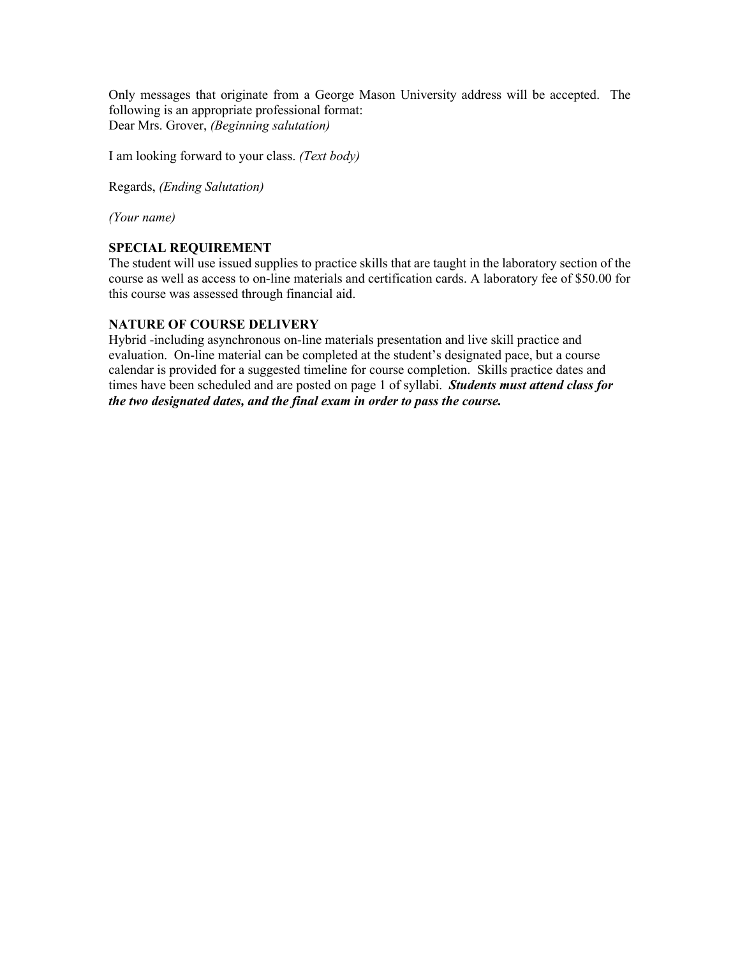Only messages that originate from a George Mason University address will be accepted. The following is an appropriate professional format: Dear Mrs. Grover, *(Beginning salutation)*

I am looking forward to your class. *(Text body)*

Regards, *(Ending Salutation)*

*(Your name)*

#### **SPECIAL REQUIREMENT**

The student will use issued supplies to practice skills that are taught in the laboratory section of the course as well as access to on-line materials and certification cards. A laboratory fee of \$50.00 for this course was assessed through financial aid.

#### **NATURE OF COURSE DELIVERY**

Hybrid -including asynchronous on-line materials presentation and live skill practice and evaluation. On-line material can be completed at the student's designated pace, but a course calendar is provided for a suggested timeline for course completion. Skills practice dates and times have been scheduled and are posted on page 1 of syllabi. *Students must attend class for the two designated dates, and the final exam in order to pass the course.*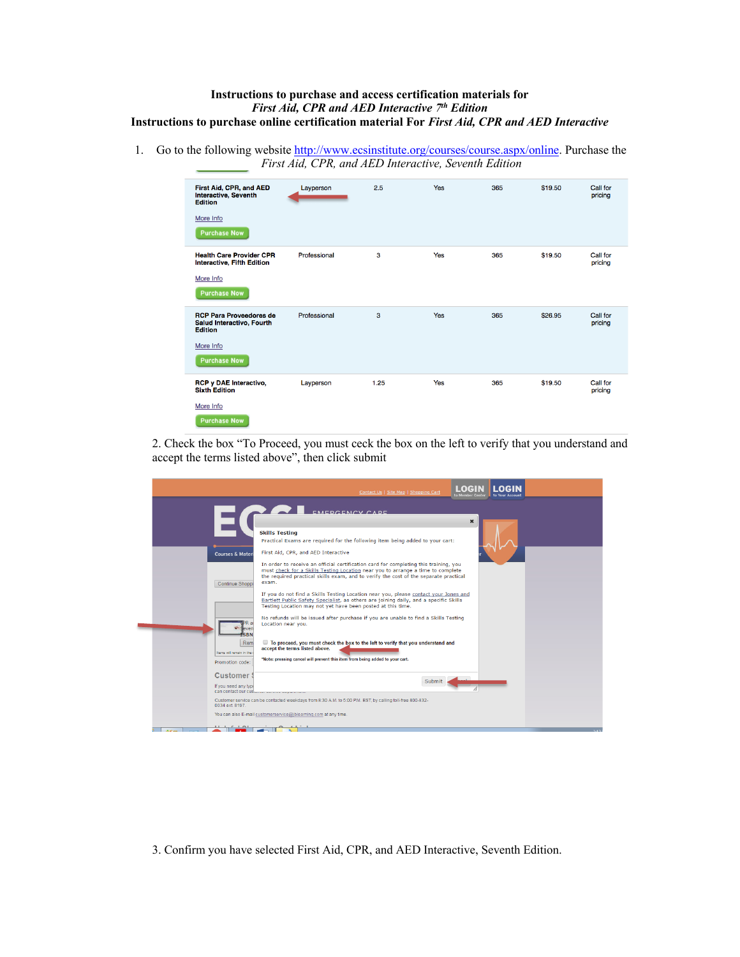#### **Instructions to purchase and access certification materials for**  *First Aid, CPR and AED Interactive 7th Edition* **Instructions to purchase online certification material For** *First Aid, CPR and AED Interactive*

1. Go to the following website http://www.ecsinstitute.org/courses/course.aspx/online. Purchase the *First Aid, CPR, and AED Interactive, Seventh Edition* 

| First Aid, CPR, and AED<br><b>Interactive, Seventh</b><br><b>Edition</b><br>More Info<br><b>Purchase Now</b>      | Layperson    | 2.5  | Yes | 365 | \$19.50 | Call for<br>pricing |
|-------------------------------------------------------------------------------------------------------------------|--------------|------|-----|-----|---------|---------------------|
| <b>Health Care Provider CPR</b><br><b>Interactive, Fifth Edition</b><br>More Info<br><b>Purchase Now</b>          | Professional | 3    | Yes | 365 | \$19.50 | Call for<br>pricing |
| <b>RCP Para Proveedores de</b><br>Salud Interactivo, Fourth<br><b>Edition</b><br>More Info<br><b>Purchase Now</b> | Professional | 3    | Yes | 365 | \$26.95 | Call for<br>pricing |
| <b>RCP y DAE Interactivo,</b><br><b>Sixth Edition</b><br>More Info<br><b>Purchase Now</b>                         | Layperson    | 1.25 | Yes | 365 | \$19.50 | Call for<br>pricing |

2. Check the box "To Proceed, you must ceck the box on the left to verify that you understand and accept the terms listed above", then click submit

|                             | <b>AEDGENCY CADE</b>                                                                                                                                                    |  |
|-----------------------------|-------------------------------------------------------------------------------------------------------------------------------------------------------------------------|--|
|                             | $\pmb{\times}$                                                                                                                                                          |  |
|                             | <b>Skills Testing</b><br>Practical Exams are required for the following item being added to your cart:                                                                  |  |
|                             |                                                                                                                                                                         |  |
| <b>Courses &amp; Materi</b> | First Aid, CPR, and AED Interactive                                                                                                                                     |  |
|                             | In order to receive an official certification card for completing this training, you<br>must check for a Skills Testing Location near you to arrange a time to complete |  |
|                             | the required practical skills exam, and to verify the cost of the separate practical                                                                                    |  |
| Continue Shoppi             | exam.                                                                                                                                                                   |  |
|                             | If you do not find a Skills Testing Location near you, please contact your Jones and                                                                                    |  |
|                             | Bartlett Public Safety Specialist, as others are joining daily, and a specific Skills<br>Testing Location may not yet have been posted at this time.                    |  |
|                             | No refunds will be issued after purchase if you are unable to find a Skills Testing                                                                                     |  |
| Rа<br>ever                  | Location near you.                                                                                                                                                      |  |
|                             |                                                                                                                                                                         |  |
| Rem                         | □ To proceed, you must check the box to the left to verify that you understand and<br>accept the terms listed above.                                                    |  |
| Items will remain in the    |                                                                                                                                                                         |  |
| Promotion code:             | "Note: pressing cancel will prevent this item from being added to your cart.                                                                                            |  |
| <b>Customer!</b>            |                                                                                                                                                                         |  |
| If you need any type        | <b>Submit</b>                                                                                                                                                           |  |
|                             | can contact our customer corrico experiencies                                                                                                                           |  |
| 0034 ext 8197               | Customer service can be contacted weekdays from 8:30 A.M. to 5:00 P.M. EST, by calling toll-free 800-832-                                                               |  |
|                             | You can also E-mail customerservice@iblearning.com at any time.                                                                                                         |  |

3. Confirm you have selected First Aid, CPR, and AED Interactive, Seventh Edition.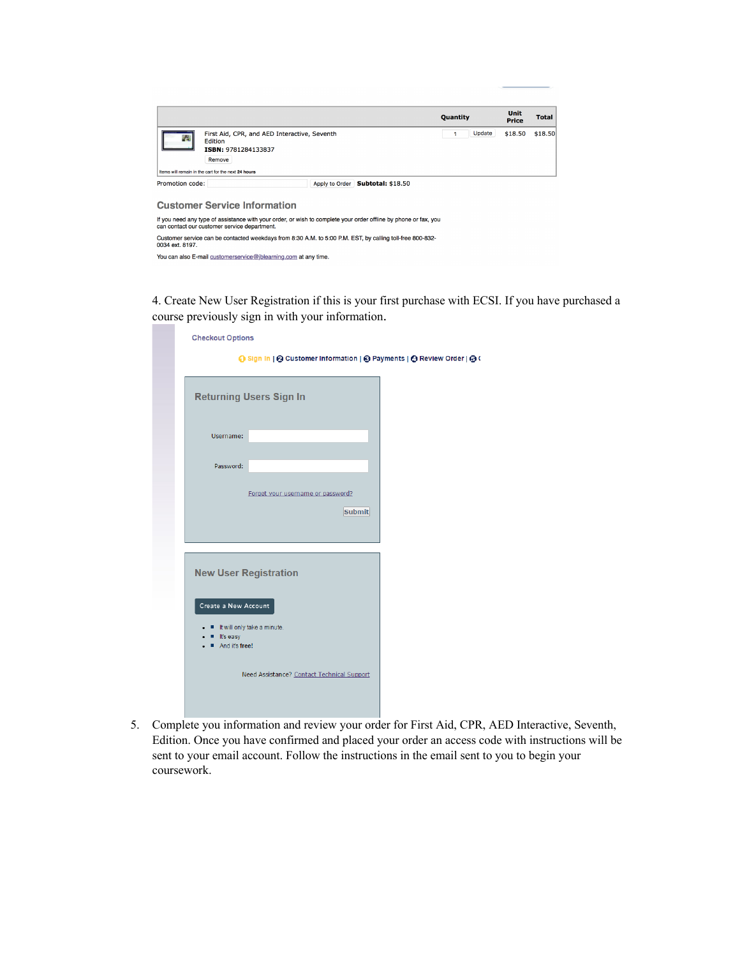|                 |                                                                                                                                                  | Quantity | Unit<br><b>Price</b> | Total   |
|-----------------|--------------------------------------------------------------------------------------------------------------------------------------------------|----------|----------------------|---------|
| 纸               | First Aid, CPR, and AED Interactive, Seventh<br>Edition<br>ISBN: 9781284133837<br>Remove<br>Items will remain in the cart for the next 24 hours. | Update   | \$18.50              | \$18.50 |
| Promotion code: | Apply to Order   Subtotal: \$18.50                                                                                                               |          |                      |         |

**Customer Service Information** 

If you need any type of assistance with your order, or wish to complete your order offline by phone or fax, you<br>can contact our customer service department. can contact our customer service department.<br>Customer service can be contacted weekdays from 8:30 A.M. to 5:00 P.M. EST, by calling toll-free 800-832-<br>0034 ext. 8197. You can also E-mail customerservice@jblearning.com at any time.

4. Create New User Registration if this is your first purchase with ECSI. If you have purchased a course previously sign in with your information.

| <b>Checkout Options</b>                                                                 |  |
|-----------------------------------------------------------------------------------------|--|
| ⊙ Sign In   2 Customer Information   ⊙ Payments   ⊙ Review Order   ⊙ (                  |  |
| <b>Returning Users Sign In</b>                                                          |  |
| Username:                                                                               |  |
| Password:                                                                               |  |
| Forget your username or password?<br><b>Submit</b>                                      |  |
| <b>New User Registration</b>                                                            |  |
| Create a New Account<br>It will only take a minute.<br>It's easy<br>And it's free!<br>п |  |
| Need Assistance? Contact Technical Support                                              |  |

5. Complete you information and review your order for First Aid, CPR, AED Interactive, Seventh, Edition. Once you have confirmed and placed your order an access code with instructions will be sent to your email account. Follow the instructions in the email sent to you to begin your coursework.